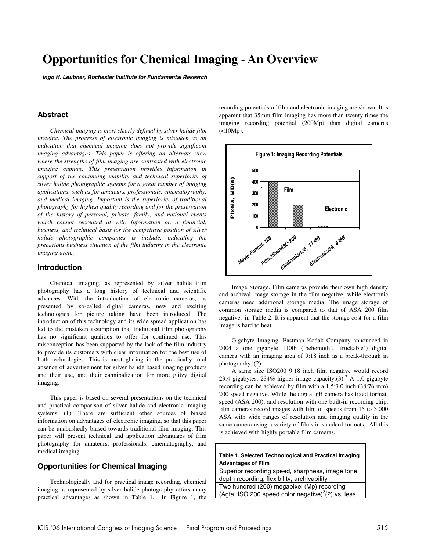# **Opportunities for Chemical Imaging - An Overview**

**Ingo H. Leubner, Rochester Institute for Fundamental Research**

# **Abstract**

*Chemical imaging is most clearly defined by silver halide film imaging. The progress of electronic imaging is mistaken as an indication that chemical imaging does not provide significant imaging advantages. This paper is offering an alternate view where the strengths of film imaging are contrasted with electronic imaging capture. This presentation provides information in support of the continuing viability and technical superiority of silver halide photographic systems for a great number of imaging applications, such as for amateurs, professionals, cinematography, and medical imaging. Important is the superiority of traditional photography for highest quality recording and for the preservation of the history of personal, private, family, and national events which cannot recreated at will. Information on a financial, business, and technical basis for the competitive position of silver halide photographic companies is include, indicating the precarious business situation of the film industry in the electronic imaging area..* 

## **Introduction**

Chemical imaging, as represented by silver halide film photography has a long history of technical and scientific advances. With the introduction of electronic cameras, as presented by so-called digital cameras, new and exciting technologies for picture taking have been introduced. The introduction of this technology and its wide spread application has led to the mistaken assumption that traditional film photography has no significant qualities to offer for continued use. This misconception has been supported by the lack of the film industry to provide its customers with clear information for the best use of both technologies. This is most glaring in the practically total absence of advertisement for silver halide based imaging products and their use, and their cannibalization for more glitzy digital imaging.

This paper is based on several presentations on the technical and practical comparison of silver halide and electronic imaging systems.  $(1)$  <sup>1</sup>There are sufficient other sources of biased information on advantages of electronic imaging, so that this paper can be unabashedly biased towards traditional film imaging. This paper will present technical and application advantages of film photography for amateurs, professionals, cinematography, and medical imaging.

# **Opportunities for Chemical Imaging**

Technologically and for practical image recording, chemical imaging as represented by silver halide photography offers many practical advantages as shown in Table 1. In Figure 1, the recording potentials of film and electronic imaging are shown. It is apparent that 35mm film imaging has more than twenty times the imaging recording potential (200Mp) than digital cameras  $(<10Mp$ ).



Image Storage. Film cameras provide their own high density and archival image storage in the film negative, while electronic cameras need additional storage media. The image storage of common storage media is compared to that of ASA 200 film negatives in Table 2. It is apparent that the storage cost for a film image is hard to beat.

Gigabyte Imaging. Eastman Kodak Company announced in 2004 a one gigabyte 110lb ('behemoth', 'truckable') digital camera with an imaging area of 9:18 inch as a break-through in photography.( (2)

A same size ISO200 9:18 inch film negative would record 23.4 gigabytes, 234% higher image capacity.(3)<sup>2</sup> A 1.0-gigabyte recording can be achieved by film with a 1.5:3.0 inch (38:76 mm) 200 speed negative. While the digital gB camera has fixed format, speed (ASA 200), and resolution with one built-in recording chip, film cameras record images with film of speeds from 15 to 3,000 ASA with wide ranges of resolution and imaging quality in the same camera using a variety of films in standard formats,. All this is achieved with highly portable film cameras.

**Table 1. Selected Technological and Practical Imaging Advantages of Film**  Superior recording speed, sharpness, image tone,

depth recording, flexibility, archivability Two hundred (200) megapixel (Mp) recording (Agfa, ISO 200 speed color negative) $^2$ (2) vs. less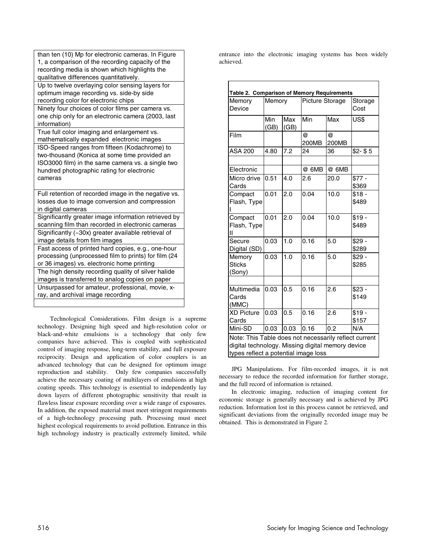| than ten (10) Mp for electronic cameras. In Figure<br>1, a comparison of the recording capacity of the<br>recording media is shown which highlights the<br>qualitative differences quantitatively.           |
|--------------------------------------------------------------------------------------------------------------------------------------------------------------------------------------------------------------|
| Up to twelve overlaying color sensing layers for<br>optimum image recording vs. side-by side<br>recording color for electronic chips                                                                         |
| Ninety four choices of color films per camera vs.<br>one chip only for an electronic camera (2003, last<br>information)                                                                                      |
| True full color imaging and enlargement vs.<br>mathematically expanded electronic images                                                                                                                     |
| ISO-Speed ranges from fifteen (Kodachrome) to<br>two-thousand (Konica at some time provided an<br>ISO3000 film) in the same camera vs. a single two<br>hundred photographic rating for electronic<br>cameras |
| Full retention of recorded image in the negative vs.<br>losses due to image conversion and compression<br>in digital cameras                                                                                 |
| Significantly greater image information retrieved by<br>scanning film than recorded in electronic cameras                                                                                                    |
| Significantly (~30x) greater available retrieval of<br>image details from film images                                                                                                                        |
| Fast access of printed hard copies, e.g., one-hour<br>processing (unprocessed film to prints) for film (24<br>or 36 images) vs. electronic home printing                                                     |
| The high density recording quality of silver halide<br>images is transferred to analog copies on paper                                                                                                       |
| Unsurpassed for amateur, professional, movie, x-<br>ray, and archival image recording                                                                                                                        |

Technological Considerations. Film design is a supreme technology. Designing high speed and high-resolution color or black-and-white emulsions is a technology that only few companies have achieved. This is coupled with sophisticated control of imaging response, long-term stability, and full exposure reciprocity. Design and application of color couplers is an advanced technology that can be designed for optimum image reproduction and stability. Only few companies successfully achieve the necessary coating of multilayers of emulsions at high coating speeds. This technology is essential to independently lay down layers of different photographic sensitivity that result in flawless linear exposure recording over a wide range of exposures. In addition, the exposed material must meet stringent requirements of a high-technology processing path. Processing must meet highest ecological requirements to avoid pollution. Entrance in this high technology industry is practically extremely limited, while

entrance into the electronic imaging systems has been widely achieved.

| Table 2. Comparison of Memory Requirements                                                                                                         |             |             |                 |            |                  |  |  |  |
|----------------------------------------------------------------------------------------------------------------------------------------------------|-------------|-------------|-----------------|------------|------------------|--|--|--|
| Memory<br>Device                                                                                                                                   | Memory      |             | Picture Storage |            | Storage<br>Cost  |  |  |  |
|                                                                                                                                                    | Min<br>(GB) | Max<br>(GB) | Min             | Max        | US\$             |  |  |  |
| Film                                                                                                                                               |             |             | @<br>200MB      | @<br>200MB |                  |  |  |  |
| <b>ASA 200</b>                                                                                                                                     | 4.80        | 7.2         | 24              | 36         | $$2 - $5$        |  |  |  |
| Electronic                                                                                                                                         |             |             | @ 6MB           | @ 6MB      |                  |  |  |  |
| Micro drive<br>Cards                                                                                                                               | 0.51        | 4.0         | 2.6             | 20.0       | $$77 -$<br>\$369 |  |  |  |
| Compact<br>Flash, Type                                                                                                                             | 0.01        | 2.0         | 0.04            | 10.0       | $$18 -$<br>\$489 |  |  |  |
| Compact<br>Flash, Type<br>Ш                                                                                                                        | 0.01        | 2.0         | 0.04            | 10.0       | $$19 -$<br>\$489 |  |  |  |
| Secure<br>Digital (SD)                                                                                                                             | 0.03        | 1.0         | 0.16            | 5.0        | $$29 -$<br>\$289 |  |  |  |
| Memory<br><b>Sticks</b><br>(Sony)                                                                                                                  | 0.03        | 1.0         | 0.16            | 5.0        | $$29 -$<br>\$285 |  |  |  |
| Multimedia                                                                                                                                         | 0.03        | 0.5         | 0.16            |            |                  |  |  |  |
| Cards<br>(MMC)                                                                                                                                     |             |             |                 | 2.6        | $$23 -$<br>\$149 |  |  |  |
| <b>XD Picture</b><br>Cards                                                                                                                         | 0.03        | 0.5         | 0.16            | 2.6        | $$19 -$<br>\$157 |  |  |  |
| Mini-SD                                                                                                                                            | 0.03        | 0.03        | 0.16            | 0.2        | N/A              |  |  |  |
| Note: This Table does not necessarily reflect current<br>digital technology. Missing digital memory device<br>types reflect a potential image loss |             |             |                 |            |                  |  |  |  |

JPG Manipulations. For film-recorded images, it is not necessary to reduce the recorded information for further storage, and the full record of information is retained.

In electronic imaging, reduction of imaging content for economic storage is generally necessary and is achieved by JPG reduction. Information lost in this process cannot be retrieved, and significant deviations from the originally recorded image may be obtained. This is demonstrated in Figure 2.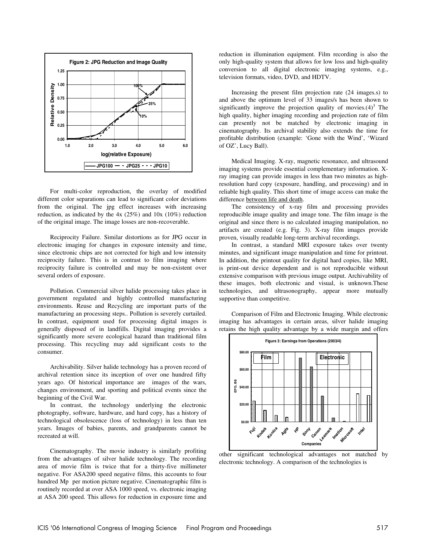

For multi-color reproduction, the overlay of modified different color separations can lead to significant color deviations from the original. The jpg effect increases with increasing reduction, as indicated by the 4x (25%) and 10x (10%) reduction of the original image. The image losses are non-recoverable.

Reciprocity Failure. Similar distortions as for JPG occur in electronic imaging for changes in exposure intensity and time, since electronic chips are not corrected for high and low intensity reciprocity failure. This is in contrast to film imaging where reciprocity failure is controlled and may be non-existent over several orders of exposure.

Pollution. Commercial silver halide processing takes place in government regulated and highly controlled manufacturing environments. Reuse and Recycling are important parts of the manufacturing an processing steps.. Pollution is severely curtailed. In contrast, equipment used for processing digital images is generally disposed of in landfills. Digital imaging provides a significantly more severe ecological hazard than traditional film processing. This recycling may add significant costs to the consumer.

Archivability. Silver halide technology has a proven record of archival retention since its inception of over one hundred fifty years ago. Of historical importance are images of the wars, changes environment, and sporting and political events since the beginning of the Civil War.

In contrast, the technology underlying the electronic photography, software, hardware, and hard copy, has a history of technological obsolescence (loss of technology) in less than ten years. Images of babies, parents, and grandparents cannot be recreated at will.

Cinematography. The movie industry is similarly profiting from the advantages of silver halide technology. The recording area of movie film is twice that for a thirty-five millimeter negative. For ASA200 speed negative films, this accounts to four hundred Mp per motion picture negative. Cinematographic film is routinely recorded at over ASA 1000 speed, vs. electronic imaging at ASA 200 speed. This allows for reduction in exposure time and reduction in illumination equipment. Film recording is also the only high-quality system that allows for low loss and high-quality conversion to all digital electronic imaging systems, e.g., television formats, video, DVD, and HDTV.

Increasing the present film projection rate (24 images.s) to and above the optimum level of 33 images/s has been shown to significantly improve the projection quality of movies. $(4)^3$  The high quality, higher imaging recording and projection rate of film can presently not be matched by electronic imaging in cinematography. Its archival stability also extends the time for profitable distribution (example: 'Gone with the Wind', 'Wizard of OZ', Lucy Ball).

Medical Imaging. X-ray, magnetic resonance, and ultrasound imaging systems provide essential complementary information. Xray imaging can provide images in less than two minutes as highresolution hard copy (exposure, handling, and processing) and in reliable high quality. This short time of image access can make the difference between life and death.

The consistency of x-ray film and processing provides reproducible image quality and image tone. The film image is the original and since there is no calculated imaging manipulation, no artifacts are created (e.g. Fig. 3). X-ray film images provide proven, visually readable long-term archival recordings.

In contrast, a standard MRI exposure takes over twenty minutes, and significant image manipulation and time for printout. In addition, the printout quality for digital hard copies, like MRI, is print-out device dependent and is not reproducible without extensive comparison with previous image output. Archivability of these images, both electronic and visual, is unknown.These technologies, and ultrasonography, appear more mutually supportive than competitive.

Comparison of Film and Electronic Imaging. While electronic imaging has advantages in certain areas, silver halide imaging retains the high quality advantage by a wide margin and offers



other significant technological advantages not matched by electronic technology. A comparison of the technologies is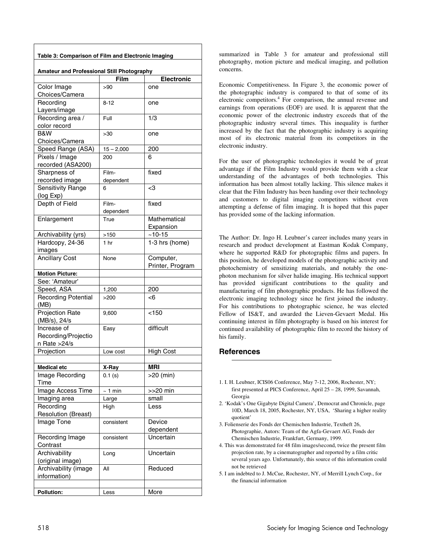| Table 3: Comparison of Film and Electronic Imaging |              |                   |  |  |  |  |
|----------------------------------------------------|--------------|-------------------|--|--|--|--|
| Amateur and Professional Still Photography         |              |                   |  |  |  |  |
|                                                    | Film         | <b>Electronic</b> |  |  |  |  |
| Color Image                                        | >90          | one               |  |  |  |  |
| Choices/Camera                                     |              |                   |  |  |  |  |
| Recording                                          | $8 - 12$     | one               |  |  |  |  |
| Layers/image                                       |              |                   |  |  |  |  |
| Recording area /                                   | Full         | 1/3               |  |  |  |  |
| color record                                       |              |                   |  |  |  |  |
| B&W                                                | >30          | one               |  |  |  |  |
| Choices/Camera                                     |              |                   |  |  |  |  |
| Speed Range (ASA)                                  | $15 - 2,000$ | 200               |  |  |  |  |
| Pixels / Image                                     | 200          | 6                 |  |  |  |  |
| recorded (ASA200)                                  |              |                   |  |  |  |  |
| Sharpness of                                       | Film-        | fixed             |  |  |  |  |
| recorded image                                     | dependent    |                   |  |  |  |  |
| Sensitivity Range                                  | 6            | -3                |  |  |  |  |
| (log Exp)                                          |              |                   |  |  |  |  |
| Depth of Field                                     | Film-        | fixed             |  |  |  |  |
|                                                    | dependent    |                   |  |  |  |  |
| Enlargement                                        | True         | Mathematical      |  |  |  |  |
|                                                    |              | Expansion         |  |  |  |  |
| Archivability (yrs)                                | >150         | $~10 - 15$        |  |  |  |  |
| Hardcopy, 24-36                                    | 1 hr         | 1-3 hrs (home)    |  |  |  |  |
| images                                             |              |                   |  |  |  |  |
| <b>Ancillary Cost</b>                              | None         | Computer,         |  |  |  |  |
|                                                    |              | Printer, Program  |  |  |  |  |
| <b>Motion Picture:</b>                             |              |                   |  |  |  |  |
| See: 'Amateur'                                     |              |                   |  |  |  |  |
| Speed, ASA                                         | 1,200        | 200               |  |  |  |  |
| <b>Recording Potential</b>                         | >200         | -6                |  |  |  |  |
| (MB)<br><b>Projection Rate</b>                     |              | < 150             |  |  |  |  |
| (MB/s), 24/s                                       | 9,600        |                   |  |  |  |  |
| Increase of                                        | Easy         | difficult         |  |  |  |  |
| Recording/Projectio                                |              |                   |  |  |  |  |
| n Rate >24/s                                       |              |                   |  |  |  |  |
| Projection                                         | Low cost     | <b>High Cost</b>  |  |  |  |  |
|                                                    |              |                   |  |  |  |  |
| <b>Medical etc</b>                                 | X-Ray        | <b>MRI</b>        |  |  |  |  |
| Image Recording                                    | 0.1(s)       | >20 (min)         |  |  |  |  |
| Time                                               |              |                   |  |  |  |  |
| Image Access Time                                  | $~1$ min     | $>>20$ min        |  |  |  |  |
| Imaging area                                       | Large        | small             |  |  |  |  |
| Recording                                          | High         | Less              |  |  |  |  |
| <b>Resolution (Breast)</b>                         |              |                   |  |  |  |  |
| Image Tone                                         | consistent   | Device            |  |  |  |  |
|                                                    |              | dependent         |  |  |  |  |
| Recording Image                                    | consistent   | Uncertain         |  |  |  |  |
| Contrast                                           |              |                   |  |  |  |  |
| Archivability                                      | Long         | Uncertain         |  |  |  |  |
| (original image)                                   |              |                   |  |  |  |  |
| Archivability (image                               | All          | Reduced           |  |  |  |  |
| information)                                       |              |                   |  |  |  |  |
|                                                    |              |                   |  |  |  |  |
| <b>Pollution:</b>                                  | Less         | More              |  |  |  |  |
|                                                    |              |                   |  |  |  |  |

summarized in Table 3 for amateur and professional still photography, motion picture and medical imaging, and pollution concerns.

Economic Competitiveness. In Figure 3, the economic power of the photographic industry is compared to that of some of its electronic competitors.<sup>4</sup> For comparison, the annual revenue and earnings from operations (EOF) are used. It is apparent that the economic power of the electronic industry exceeds that of the photographic industry several times. This inequality is further increased by the fact that the photographic industry is acquiring most of its electronic material from its competitors in the electronic industry.

For the user of photographic technologies it would be of great advantage if the Film Industry would provide them with a clear understanding of the advantages of both technologies. This information has been almost totally lacking. This silence makes it clear that the Film Industry has been handing over their technology and customers to digital imaging competitors without even attempting a defense of film imaging. It is hoped that this paper has provided some of the lacking information.

The Author: Dr. Ingo H. Leubner's career includes many years in research and product development at Eastman Kodak Company, where he supported R&D for photographic films and papers. In this position, he developed models of the photographic activity and photochemistry of sensitizing materials, and notably the onephoton mechanism for silver halide imaging. His technical support has provided significant contributions to the quality and manufacturing of film photographic products. He has followed the electronic imaging technology since he first joined the industry. For his contributions to photographic science, he was elected Fellow of IS&T, and awarded the Lieven-Gevaert Medal. His continuing interest in film photography is based on his interest for continued availability of photographic film to record the history of his family.

# **References**

 $\overline{a}$ 

- 1. I. H. Leubner, ICIS06 Conference, May 7-12, 2006, Rochester, NY; first presented at PICS Conference, April 25 – 28, 1999, Savannah, Georgia
- 2. 'Kodak's One Gigabyte Digital Camera', Democrat and Chronicle, page 10D, March 18, 2005, Rochester, NY, USA, 'Sharing a higher reality quotient'
- 3. Folienserie des Fonds der Chemischen Industrie, Textheft 26, Photographie, Autors: Team of the Agfa-Gevaert AG, Fonds der Chemischen Industrie, Frankfurt, Germany, 1999.
- 4. This was demonstrated for 48 film images/second, twice the present film projection rate, by a cinematographer and reported by a film critic several years ago. Unfortunately, this source of this information could not be retrieved
- 5. I am indebted to J. McCue, Rochester, NY, of Merrill Lynch Corp., for the financial information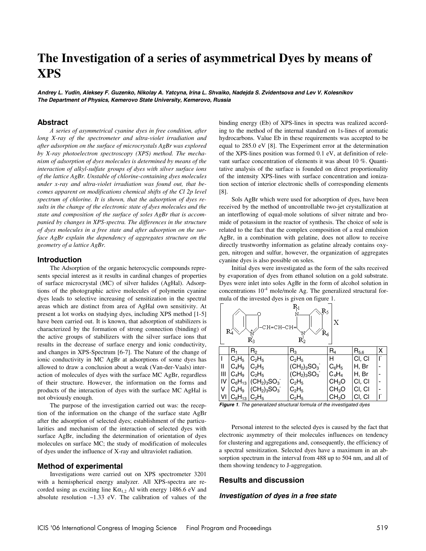# **The Investigation of a series of asymmetrical Dyes by means of XPS**

**Andrey L. Yudin, Aleksey F. Guzenko, Nikolay A. Yatcyna, Irina L. Shvaiko, Nadejda S. Zvidentsova and Lev V. Kolesnikov The Department of Physics, Kemerovo State University, Kemerovo, Russia**

### **Abstract**

А *series of asymmetrical cyanine dyes in free condition, after long X-ray of the spectrometer and ultra-violet irradiation and after adsorption on the surface of microcrystals AgBr was explored by X-ray photoelectron spectroscopy (XPS) method. The mechanism of adsorption of dyes molecules is determined by means of the interaction of alkyl-sulfate groups of dyes with silver surface ions of the lattice AgBr. Unstable of chlorine-containing dyes molecules under x-ray and ultra-violet irradiation was found out, that becomes apparent on modifications chemical shifts of the Cl 2p level spectrum of chlorine. It is shown, that the adsorption of dyes results in the change of the electronic state of dyes molecules and the state and composition of the surface of soles AgBr that is accompanied by changes in XPS-spectra. The differences in the structure of dyes molecules in a free state and after adsorption on the surface AgBr explain the dependency of aggregates structure on the geometry of a lattice AgBr.* 

## **Introduction**

The Adsorption of the organic heterocyclic compounds represents special interest as it results in cardinal changes of properties of surface microcrystal (MC) of silver halides (AgHal). Adsorptions of the photographic active molecules of polymetin cyanine dyes leads to selective increasing of sensitization in the spectral areas which are distinct from area of AgHal own sensitivity. At present a lot works on studying dyes, including XPS method [1-5] have been carried out. It is known, that adsorption of stabilizers is characterized by the formation of strong connection (binding) of the active groups of stabilizers with the silver surface ions that results in the decrease of surface energy and ionic conductivity, and changes in XPS-Spectrum [6-7]. The Nature of the change of ionic conductivity in MC AgBr at adsorptions of some dyes has allowed to draw a conclusion about a weak (Van-der-Vaals) interaction of molecules of dyes with the surface MC AgBr, regardless of their structure. However, the information on the forms and products of the interaction of dyes with the surface MC AgHal is not obviously enough.

The purpose of the investigation carried out was: the reception of the information on the change of the surface state AgBr after the adsorption of selected dyes; establishment of the particularities and mechanism of the interaction of selected dyes with surface AgBr, including the determination of orientation of dyes molecules on surface MC; the study of modification of molecules of dyes under the influence of X-ray and ultraviolet radiation.

#### **Method of experimental**

Investigations were carried out on XPS spectrometer 3201 with a hemispherical energy analyzer. All XPS-spectra are recorded using as exciting line  $K\alpha_{1,2}$  Al with energy 1486.6 eV and absolute resolution ~1.33 eV. The calibration of values of the binding energy (Eb) of XPS-lines in spectra was realized according to the method of the internal standard on 1s-lines of aromatic hydrocarbons. Value Eb in these requirements was accepted to be equal to 285.0 eV [8]. The Experiment error at the determination of the XPS-lines position was formed 0.1 eV, at definition of relevant surface concentration of elements it was about 10 %. Quantitative analysis of the surface is founded on direct proportionality of the intensity XPS-lines with surface concentration and ionization section of interior electronic shells of corresponding elements [8].

Sols AgBr which were used for adsorption of dyes, have been received by the method of uncontrollable two-jet crystallization at an interflowing of equal-mole solutions of silver nitrate and bromide of potassium in the reactor of synthesis. The choice of sole is related to the fact that the complex composition of a real emulsion AgBr, in a combination with gelatine, does not allow to receive directly trustworthy information as gelatine already contains oxygen, nitrogen and sulfur, however, the organization of aggregates cyanine dyes is also possible on soles.

Initial dyes were investigated as the form of the salts received by evaporation of dyes from ethanol solution on a gold substrate. Dyes were inlet into soles AgBr in the form of alcohol solution in concentrations  $10^{-4}$  mole/mole Ag. The generalized structural formula of the invested dyes is given on figure 1.

| $\rm R_{1}$<br>$\mathbf{R}_{5}$<br>х<br>сн=сн–сн=∖<br>R4<br>Ř6<br>$\rm R_2^{\prime}$<br>R, |                      |                                                             |             |                   |           |   |  |  |  |
|--------------------------------------------------------------------------------------------|----------------------|-------------------------------------------------------------|-------------|-------------------|-----------|---|--|--|--|
|                                                                                            | R,                   | R <sub>2</sub>                                              | $R_3$       | $R_4$             | $R_{5,6}$ | X |  |  |  |
|                                                                                            | $C_2H_5$             | $C_2H_5$                                                    | $C_2H_5$    | н                 | CI, CI    | Ľ |  |  |  |
| Ш                                                                                          | $C_4H_9$             | $C_2H_5$                                                    | $(CH2)3SO3$ | $C_6H_5$          | H, Br     |   |  |  |  |
| Ш                                                                                          | $C_4H_9$             | $C_2H_5$                                                    | $(CH2)3SO3$ | $C_4H_4$          | H, Br     |   |  |  |  |
| IV                                                                                         |                      | $C_6H_{13}$ (CH <sub>2</sub> ) <sub>3</sub> SO <sub>3</sub> | $C_2H_5$    | CH <sub>3</sub> O | CI, CI    |   |  |  |  |
| V                                                                                          | $C_4H_9$             | $ CH_2)_3SO_3$                                              | $C_2H_5$    | CH <sub>3</sub> O | CI, CI    |   |  |  |  |
| VI                                                                                         | $C_6H_{13}$ $C_2H_5$ |                                                             | $C_2H_5$    | CH <sub>3</sub> O | CI, CI    |   |  |  |  |

**Figure 1.** The generalized structural formula of the investigated dyes

Personal interest to the selected dyes is caused by the fact that electronic asymmetry of their molecules influences on tendency for clustering and aggregations and, consequently, the efficiency of a spectral sensitization. Selected dyes have a maximum in an absorption spectrum in the interval from 488 up to 504 nm, and all of them showing tendency to J-aggregation.

## **Results and discussion**

#### **Investigation of dyes in a free state**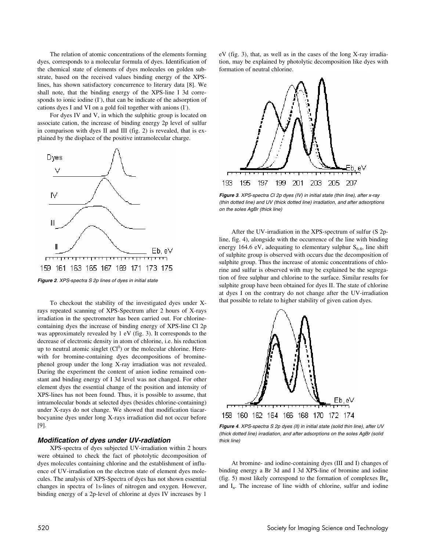The relation of atomic concentrations of the elements forming dyes, corresponds to a molecular formula of dyes. Identification of the chemical state of elements of dyes molecules on golden substrate, based on the received values binding energy of the XPSlines, has shown satisfactory concurrence to literary data [8]. We shall note, that the binding energy of the XPS-line I 3d corresponds to ionic iodine (I), that can be indicate of the adsorption of cations dyes I and VI on a gold foil together with anions (I).

For dyes IV and V, in which the sulphitic group is located on associate cation, the increase of binding energy 2p level of sulfur in comparison with dyes II and III (fig. 2) is revealed, that is explained by the displace of the positive intramolecular charge.



**Figure 2**. XPS-spectra S 2p lines of dyes in initial state

To checkout the stability of the investigated dyes under Xrays repeated scanning of XPS-Spectrum after 2 hours of X-rays irradiation in the spectrometer has been carried out. For chlorinecontaining dyes the increase of binding energy of XPS-line Cl 2p was approximately revealed by 1 eV (fig. 3). It corresponds to the decrease of electronic density in atom of chlorine, i.e. his reduction up to neutral atomic singlet  $(Cl^0)$  or the molecular chlorine. Herewith for bromine-containing dyes decompositions of brominephenol group under the long X-ray irradiation was not revealed. During the experiment the content of anion iodine remained constant and binding energy of I 3d level was not changed. For other element dyes the essential change of the position and intensity of XPS-lines has not been found. Thus, it is possible to assume, that intramolecular bonds at selected dyes (besides chlorine-containing) under X-rays do not change. We showed that modification tiacarbocyanine dyes under long X-rays irradiation did not occur before [9].

#### **Modification of dyes under UV-radiation**

XPS-spectra of dyes subjected UV-irradiation within 2 hours were obtained to check the fact of photolytic decomposition of dyes molecules containing chlorine and the establishment of influence of UV-irradiation on the electron state of element dyes molecules. The analysis of XPS-Spectra of dyes has not shown essential changes in spectra of 1s-lines of nitrogen and oxygen. However, binding energy of a 2p-level of chlorine at dyes IV increases by 1

eV (fig. 3), that, as well as in the cases of the long X-ray irradiation, may be explained by photolytic decomposition like dyes with formation of neutral chlorine.



**Figure 3**. XPS-spectra Cl 2p dyes (IV) in initial state (thin line), after x-ray (thin dotted line) and UV (thick dotted line) irradiation, and after adsorptions on the soles AgBr (thick line)

After the UV-irradiation in the XPS-spectrum of sulfur (S 2pline, fig. 4), alongside with the occurrence of the line with binding energy 164.6 eV, adequating to elementary sulphur  $S_{6-8}$ , line shift of sulphite group is observed with occurs due the decomposition of sulphite group. Thus the increase of atomic concentrations of chlorine and sulfur is observed with may be explained be the segregation of free sulphur and chlorine to the surface. Similar results for sulphite group have been obtained for dyes II. The state of chlorine at dyes I on the contrary do not change after the UV-irradiation that possible to relate to higher stability of given cation dyes.



**Figure 4**. XPS-spectra S 2p dyes (II) in initial state (solid thin line), after UV (thick dotted line) irradiation, and after adsorptions on the soles AgBr (solid thick line)

At bromine- and iodine-containing dyes (III and I) changes of binding energy a Br 3d and I 3d XPS-line of bromine and iodine (fig. 5) most likely correspond to the formation of complexes  $\text{Br}_n$ and  $I_n$ . The increase of line width of chlorine, sulfur and iodine